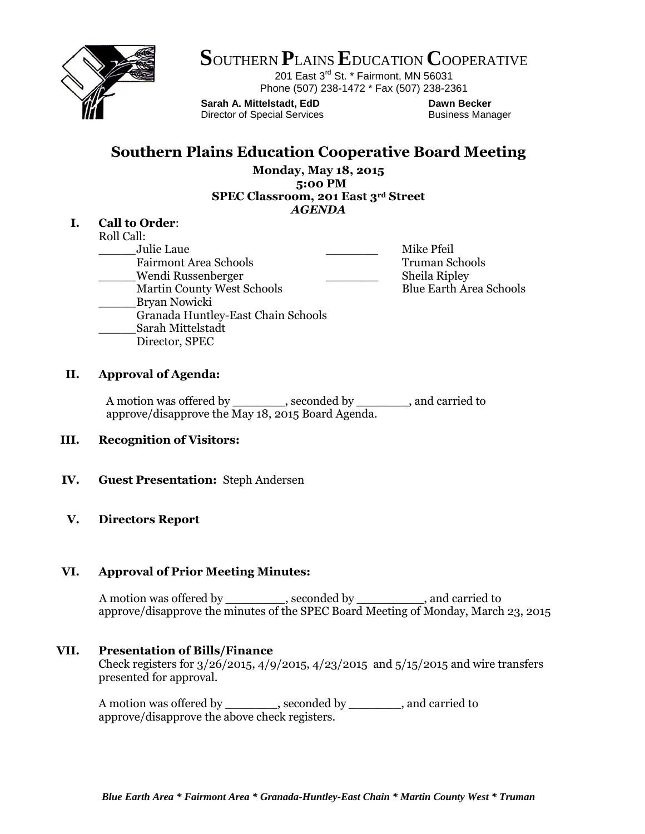

**S**OUTHERN **P**LAINS**E**DUCATION **C**OOPERATIVE

201 East 3<sup>rd</sup> St. \* Fairmont, MN 56031 Phone (507) 238-1472 \* Fax (507) 238-2361

**Sarah A. Mittelstadt, EdD Dawn Becker** Director of Special Services **Business Manager** Business Manager

# **Southern Plains Education Cooperative Board Meeting**

**Monday, May 18, 2015 5:00 PM SPEC Classroom, 201 East 3rd Street** *AGENDA*

## **I. Call to Order**:

Roll Call: \_\_\_\_\_Julie Laue \_\_\_\_\_\_\_ Mike Pfeil Fairmont Area Schools Truman Schools \_\_\_\_\_Wendi Russenberger \_\_\_\_\_\_\_ Sheila Ripley

Martin County West Schools Blue Earth Area Schools

- \_\_\_\_\_Bryan Nowicki
- Granada Huntley-East Chain Schools
- \_\_\_\_\_Sarah Mittelstadt
- Director, SPEC
- 

# **II. Approval of Agenda:**

A motion was offered by \_\_\_\_\_\_\_, seconded by \_\_\_\_\_\_\_, and carried to approve/disapprove the May 18, 2015 Board Agenda.

# **III. Recognition of Visitors:**

# **IV. Guest Presentation:** Steph Andersen

# **V. Directors Report**

# **VI. Approval of Prior Meeting Minutes:**

A motion was offered by \_\_\_\_\_\_\_\_, seconded by \_\_\_\_\_\_\_, and carried to approve/disapprove the minutes of the SPEC Board Meeting of Monday, March 23, 2015

# **VII. Presentation of Bills/Finance**

Check registers for 3/26/2015, 4/9/2015, 4/23/2015 and 5/15/2015 and wire transfers presented for approval.

A motion was offered by \_\_\_\_\_\_\_, seconded by \_\_\_\_\_\_\_, and carried to approve/disapprove the above check registers.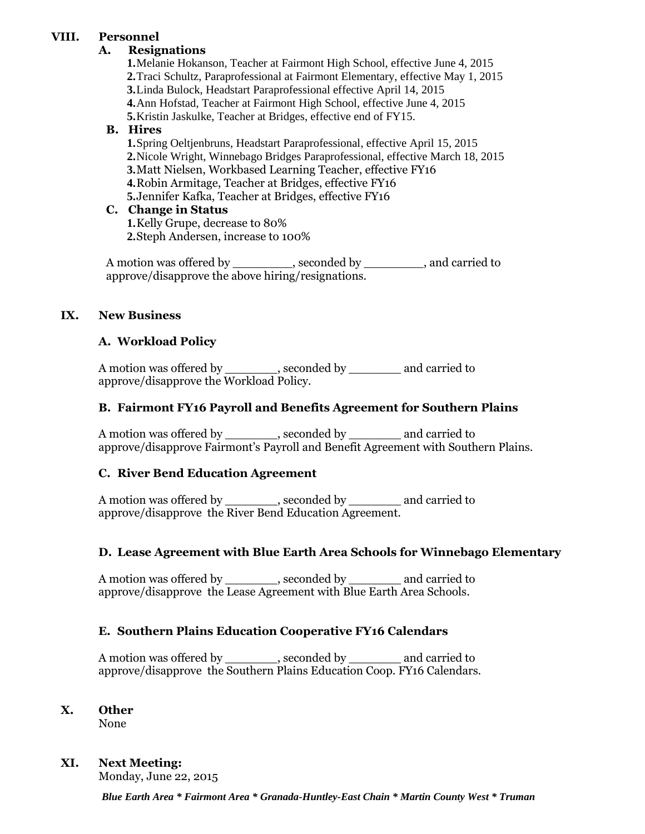# **VIII. Personnel**

### **A. Resignations**

**1.**Melanie Hokanson, Teacher at Fairmont High School, effective June 4, 2015 **2.**Traci Schultz, Paraprofessional at Fairmont Elementary, effective May 1, 2015 **3.**Linda Bulock, Headstart Paraprofessional effective April 14, 2015 **4.**Ann Hofstad, Teacher at Fairmont High School, effective June 4, 2015 **5.**Kristin Jaskulke, Teacher at Bridges, effective end of FY15.

### **B. Hires**

**1.**Spring Oeltjenbruns, Headstart Paraprofessional, effective April 15, 2015 **2.**Nicole Wright, Winnebago Bridges Paraprofessional, effective March 18, 2015 **3.**Matt Nielsen, Workbased Learning Teacher, effective FY16 **4.**Robin Armitage, Teacher at Bridges, effective FY16 **5.**Jennifer Kafka, Teacher at Bridges, effective FY16

## **C. Change in Status**

**1.**Kelly Grupe, decrease to 80% **2.**Steph Andersen, increase to 100%

A motion was offered by example by  $\blacksquare$ , seconded by  $\blacksquare$ , and carried to approve/disapprove the above hiring/resignations.

## **IX. New Business**

## **A. Workload Policy**

A motion was offered by \_\_\_\_\_\_\_, seconded by \_\_\_\_\_\_\_\_ and carried to approve/disapprove the Workload Policy.

### **B. Fairmont FY16 Payroll and Benefits Agreement for Southern Plains**

A motion was offered by \_\_\_\_\_\_\_, seconded by \_\_\_\_\_\_\_ and carried to approve/disapprove Fairmont's Payroll and Benefit Agreement with Southern Plains.

### **C. River Bend Education Agreement**

A motion was offered by \_\_\_\_\_\_\_, seconded by \_\_\_\_\_\_\_ and carried to approve/disapprove the River Bend Education Agreement.

### **D. Lease Agreement with Blue Earth Area Schools for Winnebago Elementary**

A motion was offered by \_\_\_\_\_\_\_, seconded by \_\_\_\_\_\_\_\_ and carried to approve/disapprove the Lease Agreement with Blue Earth Area Schools.

### **E. Southern Plains Education Cooperative FY16 Calendars**

A motion was offered by example by seconded by and carried to approve/disapprove the Southern Plains Education Coop. FY16 Calendars.

### **X. Other**

None

### **XI. Next Meeting:**

Monday, June 22, 2015